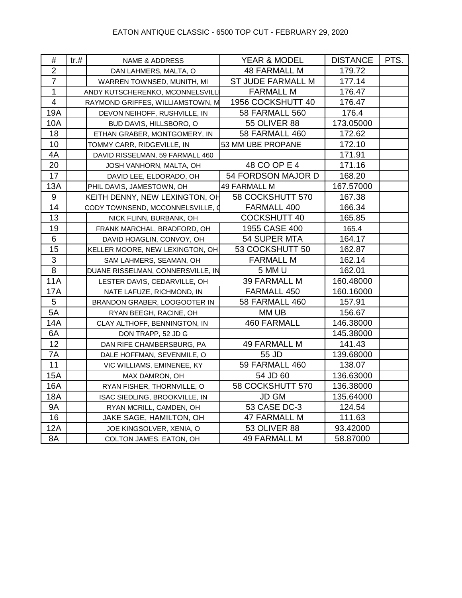| #                | tr. # | <b>NAME &amp; ADDRESS</b>         | YEAR & MODEL             | <b>DISTANCE</b> | PTS. |
|------------------|-------|-----------------------------------|--------------------------|-----------------|------|
| $\overline{2}$   |       | DAN LAHMERS, MALTA, O             | <b>48 FARMALL M</b>      | 179.72          |      |
| $\overline{7}$   |       | WARREN TOWNSED, MUNITH, MI        | <b>ST JUDE FARMALL M</b> | 177.14          |      |
| $\mathbf 1$      |       | ANDY KUTSCHERENKO, MCONNELSVILLI  | <b>FARMALL M</b>         | 176.47          |      |
| $\overline{4}$   |       | RAYMOND GRIFFES, WILLIAMSTOWN, M  | 1956 COCKSHUTT 40        | 176.47          |      |
| <b>19A</b>       |       | DEVON NEIHOFF, RUSHVILLE, IN      | 58 FARMALL 560           | 176.4           |      |
| 10A              |       | BUD DAVIS, HILLSBORO, O           | <b>55 OLIVER 88</b>      | 173.05000       |      |
| 18               |       | ETHAN GRABER, MONTGOMERY, IN      | 58 FARMALL 460           | 172.62          |      |
| 10               |       | TOMMY CARR, RIDGEVILLE, IN        | 53 MM UBE PROPANE        | 172.10          |      |
| 4A               |       | DAVID RISSELMAN, 59 FARMALL 460   |                          | 171.91          |      |
| 20               |       | JOSH VANHORN, MALTA, OH           | 48 CO OP E 4             | 171.16          |      |
| 17               |       | DAVID LEE, ELDORADO, OH           | 54 FORDSON MAJOR D       | 168.20          |      |
| 13A              |       | PHIL DAVIS, JAMESTOWN, OH         | 49 FARMALL M             | 167.57000       |      |
| $\boldsymbol{9}$ |       | KEITH DENNY, NEW LEXINGTON, OH    | 58 COCKSHUTT 570         | 167.38          |      |
| 14               |       | CODY TOWNSEND, MCCONNELSVILLE, Q  | FARMALL 400              | 166.34          |      |
| 13               |       | NICK FLINN, BURBANK, OH           | <b>COCKSHUTT 40</b>      | 165.85          |      |
| 19               |       | FRANK MARCHAL, BRADFORD, OH       | 1955 CASE 400            | 165.4           |      |
| 6                |       | DAVID HOAGLIN, CONVOY, OH         | 54 SUPER MTA             | 164.17          |      |
| 15               |       | KELLER MOORE, NEW LEXINGTON, OH   | 53 COCKSHUTT 50          | 162.87          |      |
| $\mathbf{3}$     |       | SAM LAHMERS, SEAMAN, OH           | <b>FARMALL M</b>         | 162.14          |      |
| $\bf 8$          |       | DUANE RISSELMAN, CONNERSVILLE, IN | 5 MM U                   | 162.01          |      |
| <b>11A</b>       |       | LESTER DAVIS, CEDARVILLE, OH      | <b>39 FARMALL M</b>      | 160.48000       |      |
| <b>17A</b>       |       | NATE LAFUZE, RICHMOND, IN         | FARMALL 450              | 160.16000       |      |
| $5\phantom{.0}$  |       | BRANDON GRABER, LOOGOOTER IN      | <b>58 FARMALL 460</b>    | 157.91          |      |
| 5A               |       | RYAN BEEGH, RACINE, OH            | MM UB                    | 156.67          |      |
| 14A              |       | CLAY ALTHOFF, BENNINGTON, IN      | <b>460 FARMALL</b>       | 146.38000       |      |
| 6A               |       | DON TRAPP, 52 JD G                |                          | 145.38000       |      |
| 12               |       | DAN RIFE CHAMBERSBURG, PA         | <b>49 FARMALL M</b>      | 141.43          |      |
| 7A               |       | DALE HOFFMAN, SEVENMILE, O        | 55 JD                    | 139.68000       |      |
| 11               |       | VIC WILLIAMS, EMINENEE, KY        | <b>59 FARMALL 460</b>    | 138.07          |      |
| <b>15A</b>       |       | MAX DAMRON, OH                    | 54 JD 60                 | 136.63000       |      |
| 16A              |       | RYAN FISHER, THORNVILLE, O        | 58 COCKSHUTT 570         | 136.38000       |      |
| 18A              |       | ISAC SIEDLING, BROOKVILLE, IN     | <b>JD GM</b>             | 135.64000       |      |
| <b>9A</b>        |       | RYAN MCRILL, CAMDEN, OH           | 53 CASE DC-3             | 124.54          |      |
| 16               |       | JAKE SAGE, HAMILTON, OH           | 47 FARMALL M             | 111.63          |      |
| 12A              |       | JOE KINGSOLVER, XENIA, O          | 53 OLIVER 88             | 93.42000        |      |
| 8A               |       | COLTON JAMES, EATON, OH           | <b>49 FARMALL M</b>      | 58.87000        |      |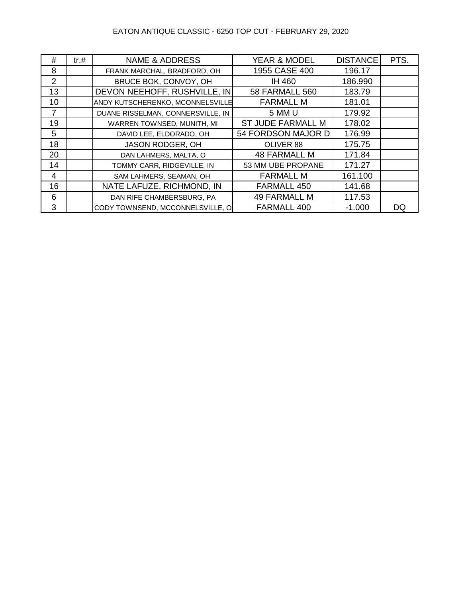### EATON ANTIQUE CLASSIC - 6250 TOP CUT - FEBRUARY 29, 2020

| #  | tr.# | <b>NAME &amp; ADDRESS</b>         | <b>YEAR &amp; MODEL</b>  | <b>DISTANCE</b> | PTS. |
|----|------|-----------------------------------|--------------------------|-----------------|------|
| 8  |      | FRANK MARCHAL, BRADFORD, OH       | 1955 CASE 400            | 196.17          |      |
| 2  |      | BRUCE BOK, CONVOY, OH             | IH 460                   | 186.990         |      |
| 13 |      | DEVON NEEHOFF, RUSHVILLE, IN      | <b>58 FARMALL 560</b>    | 183.79          |      |
| 10 |      | ANDY KUTSCHERENKO, MCONNELSVILLE  | <b>FARMALL M</b>         | 181.01          |      |
| 7  |      | DUANE RISSELMAN, CONNERSVILLE, IN | 5 MM U                   | 179.92          |      |
| 19 |      | WARREN TOWNSED, MUNITH, MI        | <b>ST JUDE FARMALL M</b> | 178.02          |      |
| 5  |      | DAVID LEE, ELDORADO, OH           | 54 FORDSON MAJOR D       | 176.99          |      |
| 18 |      | JASON RODGER, OH                  | OLIVER 88                | 175.75          |      |
| 20 |      | DAN LAHMERS, MALTA, O             | <b>48 FARMALL M</b>      | 171.84          |      |
| 14 |      | TOMMY CARR, RIDGEVILLE, IN        | 53 MM UBE PROPANE        | 171.27          |      |
| 4  |      | SAM LAHMERS, SEAMAN, OH           | <b>FARMALL M</b>         | 161.100         |      |
| 16 |      | NATE LAFUZE, RICHMOND, IN         | FARMALL 450              | 141.68          |      |
| 6  |      | DAN RIFE CHAMBERSBURG, PA         | <b>49 FARMALL M</b>      | 117.53          |      |
| 3  |      | CODY TOWNSEND, MCCONNELSVILLE, O  | FARMALL 400              | $-1.000$        | DQ   |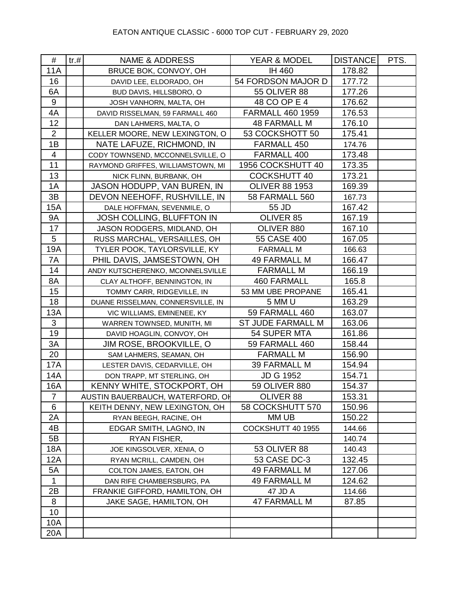| #                | tr. # | <b>NAME &amp; ADDRESS</b>         | YEAR & MODEL            | <b>DISTANCE</b> | PTS. |
|------------------|-------|-----------------------------------|-------------------------|-----------------|------|
| <b>11A</b>       |       | BRUCE BOK, CONVOY, OH             | IH 460                  | 178.82          |      |
| 16               |       | DAVID LEE, ELDORADO, OH           | 54 FORDSON MAJOR D      | 177.72          |      |
| 6A               |       | BUD DAVIS, HILLSBORO, O           | <b>55 OLIVER 88</b>     | 177.26          |      |
| $\boldsymbol{9}$ |       | JOSH VANHORN, MALTA, OH           | 48 CO OP E 4            | 176.62          |      |
| 4A               |       | DAVID RISSELMAN, 59 FARMALL 460   | <b>FARMALL 460 1959</b> | 176.53          |      |
| 12               |       | DAN LAHMERS, MALTA, O             | <b>48 FARMALL M</b>     | 176.10          |      |
| $\overline{2}$   |       | KELLER MOORE, NEW LEXINGTON, O    | 53 COCKSHOTT 50         | 175.41          |      |
| 1B               |       | NATE LAFUZE, RICHMOND, IN         | FARMALL 450             | 174.76          |      |
| $\overline{4}$   |       | CODY TOWNSEND, MCCONNELSVILLE, O  | FARMALL 400             | 173.48          |      |
| 11               |       | RAYMOND GRIFFES, WILLIAMSTOWN, MI | 1956 COCKSHUTT 40       | 173.35          |      |
| 13               |       | NICK FLINN, BURBANK, OH           | <b>COCKSHUTT 40</b>     | 173.21          |      |
| 1A               |       | JASON HODUPP, VAN BUREN, IN       | <b>OLIVER 88 1953</b>   | 169.39          |      |
| 3B               |       | DEVON NEEHOFF, RUSHVILLE, IN      | <b>58 FARMALL 560</b>   | 167.73          |      |
| 15A              |       | DALE HOFFMAN, SEVENMILE, O        | 55 JD                   | 167.42          |      |
| <b>9A</b>        |       | JOSH COLLING, BLUFFTON IN         | OLIVER 85               | 167.19          |      |
| 17               |       | JASON RODGERS, MIDLAND, OH        | OLIVER 880              | 167.10          |      |
| $\overline{5}$   |       | RUSS MARCHAL, VERSAILLES, OH      | 55 CASE 400             | 167.05          |      |
| 19A              |       | TYLER POOK, TAYLORSVILLE, KY      | <b>FARMALL M</b>        | 166.63          |      |
| 7A               |       | PHIL DAVIS, JAMSESTOWN, OH        | <b>49 FARMALL M</b>     | 166.47          |      |
| 14               |       | ANDY KUTSCHERENKO, MCONNELSVILLE  | <b>FARMALL M</b>        | 166.19          |      |
| 8A               |       | CLAY ALTHOFF, BENNINGTON, IN      | <b>460 FARMALL</b>      | 165.8           |      |
| 15               |       | TOMMY CARR, RIDGEVILLE, IN        | 53 MM UBE PROPANE       | 165.41          |      |
| 18               |       | DUANE RISSELMAN, CONNERSVILLE, IN | 5 MM U                  | 163.29          |      |
| 13A              |       | VIC WILLIAMS, EMINENEE, KY        | 59 FARMALL 460          | 163.07          |      |
| $\mathfrak{S}$   |       | WARREN TOWNSED, MUNITH, MI        | ST JUDE FARMALL M       | 163.06          |      |
| 19               |       | DAVID HOAGLIN, CONVOY, OH         | 54 SUPER MTA            | 161.86          |      |
| 3A               |       | JIM ROSE, BROOKVILLE, O           | 59 FARMALL 460          | 158.44          |      |
| 20               |       | SAM LAHMERS, SEAMAN, OH           | <b>FARMALL M</b>        | 156.90          |      |
| 17A              |       | LESTER DAVIS, CEDARVILLE, OH      | <b>39 FARMALL M</b>     | 154.94          |      |
| <b>14A</b>       |       | DON TRAPP, MT STERLING, OH        | <b>JD G 1952</b>        | 154.71          |      |
| 16A              |       | KENNY WHITE, STOCKPORT, OH        | 59 OLIVER 880           | 154.37          |      |
| $\overline{7}$   |       | AUSTIN BAUERBAUCH, WATERFORD, OH  | OLIVER 88               | 153.31          |      |
| 6                |       | KEITH DENNY, NEW LEXINGTON, OH    | 58 COCKSHUTT 570        | 150.96          |      |
| 2A               |       | RYAN BEEGH, RACINE, OH            | MM UB                   | 150.22          |      |
| 4B               |       | EDGAR SMITH, LAGNO, IN            | COCKSHUTT 40 1955       | 144.66          |      |
| 5B               |       | RYAN FISHER,                      |                         | 140.74          |      |
| 18A              |       | JOE KINGSOLVER, XENIA, O          | <b>53 OLIVER 88</b>     | 140.43          |      |
| 12A              |       | RYAN MCRILL, CAMDEN, OH           | 53 CASE DC-3            | 132.45          |      |
| 5A               |       | COLTON JAMES, EATON, OH           | <b>49 FARMALL M</b>     | 127.06          |      |
| $\mathbf{1}$     |       | DAN RIFE CHAMBERSBURG, PA         | <b>49 FARMALL M</b>     | 124.62          |      |
| 2B               |       | FRANKIE GIFFORD, HAMILTON, OH     | 47 JD A                 | 114.66          |      |
| 8                |       | JAKE SAGE, HAMILTON, OH           | <b>47 FARMALL M</b>     | 87.85           |      |
| 10               |       |                                   |                         |                 |      |
| 10A              |       |                                   |                         |                 |      |
| 20A              |       |                                   |                         |                 |      |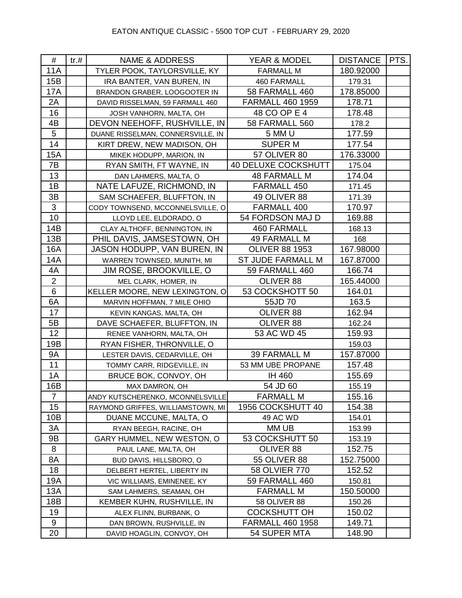| #              | tr. # | <b>NAME &amp; ADDRESS</b>         | YEAR & MODEL               | DISTANCE   PTS. |  |
|----------------|-------|-----------------------------------|----------------------------|-----------------|--|
| 11A            |       | TYLER POOK, TAYLORSVILLE, KY      | <b>FARMALL M</b>           | 180.92000       |  |
| 15B            |       | IRA BANTER, VAN BUREN, IN         | 460 FARMALL                | 179.31          |  |
| 17A            |       | BRANDON GRABER, LOOGOOTER IN      | 58 FARMALL 460             | 178.85000       |  |
| 2A             |       | DAVID RISSELMAN, 59 FARMALL 460   | <b>FARMALL 460 1959</b>    | 178.71          |  |
| 16             |       | JOSH VANHORN, MALTA, OH           | 48 CO OP E 4               | 178.48          |  |
| 4B             |       | DEVON NEEHOFF, RUSHVILLE, IN      | <b>58 FARMALL 560</b>      | 178.2           |  |
| $\overline{5}$ |       | DUANE RISSELMAN, CONNERSVILLE, IN | 5 MM U                     | 177.59          |  |
| 14             |       | KIRT DREW, NEW MADISON, OH        | <b>SUPER M</b>             | 177.54          |  |
| 15A            |       | MIKEK HODUPP, MARION, IN          | <b>57 OLIVER 80</b>        | 176.33000       |  |
| 7B             |       | RYAN SMITH, FT WAYNE, IN          | <b>40 DELUXE COCKSHUTT</b> | 175.04          |  |
| 13             |       | DAN LAHMERS, MALTA, O             | <b>48 FARMALL M</b>        | 174.04          |  |
| 1B             |       | NATE LAFUZE, RICHMOND, IN         | FARMALL 450                | 171.45          |  |
| 3B             |       | SAM SCHAEFER, BLUFFTON, IN        | 49 OLIVER 88               | 171.39          |  |
| $\sqrt{3}$     |       | CODY TOWNSEND, MCCONNELSVILLE, O  | FARMALL 400                | 170.97          |  |
| 10             |       | LLOYD LEE, ELDORADO, O            | 54 FORDSON MAJ D           | 169.88          |  |
| 14B            |       | CLAY ALTHOFF, BENNINGTON, IN      | <b>460 FARMALL</b>         | 168.13          |  |
| 13B            |       | PHIL DAVIS, JAMSESTOWN, OH        | <b>49 FARMALL M</b>        | 168             |  |
| 16A            |       | JASON HODUPP, VAN BUREN, IN       | <b>OLIVER 88 1953</b>      | 167.98000       |  |
| 14A            |       | WARREN TOWNSED, MUNITH, MI        | <b>ST JUDE FARMALL M</b>   | 167.87000       |  |
| 4A             |       | JIM ROSE, BROOKVILLE, O           | 59 FARMALL 460             | 166.74          |  |
| $\mathbf{2}$   |       | MEL CLARK, HOMER, IN              | OLIVER 88                  | 165.44000       |  |
| 6              |       | KELLER MOORE, NEW LEXINGTON, O    | 53 COCKSHOTT 50            | 164.01          |  |
| 6A             |       | MARVIN HOFFMAN, 7 MILE OHIO       | 55JD 70                    | 163.5           |  |
| 17             |       | KEVIN KANGAS, MALTA, OH           | OLIVER 88                  | 162.94          |  |
| 5B             |       | DAVE SCHAEFER, BLUFFTON, IN       | OLIVER 88                  | 162.24          |  |
| 12             |       | RENEE VANHORN, MALTA, OH          | 53 AC WD 45                | 159.93          |  |
| 19B            |       | RYAN FISHER, THRONVILLE, O        |                            | 159.03          |  |
| <b>9A</b>      |       | LESTER DAVIS, CEDARVILLE, OH      | <b>39 FARMALL M</b>        | 157.87000       |  |
| 11             |       | TOMMY CARR, RIDGEVILLE, IN        | 53 MM UBE PROPANE          | 157.48          |  |
| 1A             |       | BRUCE BOK, CONVOY, OH             | <b>IH 460</b>              | 155.69          |  |
| 16B            |       | MAX DAMRON, OH                    | 54 JD 60                   | 155.19          |  |
| $\overline{7}$ |       | ANDY KUTSCHERENKO, MCONNELSVILLE  | <b>FARMALL M</b>           | 155.16          |  |
| 15             |       | RAYMOND GRIFFES, WILLIAMSTOWN, MI | 1956 COCKSHUTT 40          | 154.38          |  |
| 10B            |       | DUANE MCCUNE, MALTA, O            | 49 AC WD                   | 154.01          |  |
| 3A             |       | RYAN BEEGH, RACINE, OH            | MM UB                      | 153.99          |  |
| 9B             |       | GARY HUMMEL, NEW WESTON, O        | 53 COCKSHUTT 50            | 153.19          |  |
| 8              |       | PAUL LANE, MALTA, OH              | OLIVER 88                  | 152.75          |  |
| 8A             |       | BUD DAVIS, HILLSBORO, O           | <b>55 OLIVER 88</b>        | 152.75000       |  |
| 18             |       | DELBERT HERTEL, LIBERTY IN        | 58 OLVIER 770              | 152.52          |  |
| 19A            |       | VIC WILLIAMS, EMINENEE, KY        | 59 FARMALL 460             | 150.81          |  |
| 13A            |       | SAM LAHMERS, SEAMAN, OH           | <b>FARMALL M</b>           | 150.50000       |  |
| 18B            |       | KEMBER KUHN, RUSHVILLE, IN        | <b>58 OLIVER 88</b>        | 150.26          |  |
| 19             |       | ALEX FLINN, BURBANK, O            | <b>COCKSHUTT OH</b>        | 150.02          |  |
| 9              |       | DAN BROWN, RUSHVILLE, IN          | <b>FARMALL 460 1958</b>    | 149.71          |  |
| 20             |       | DAVID HOAGLIN, CONVOY, OH         | 54 SUPER MTA               | 148.90          |  |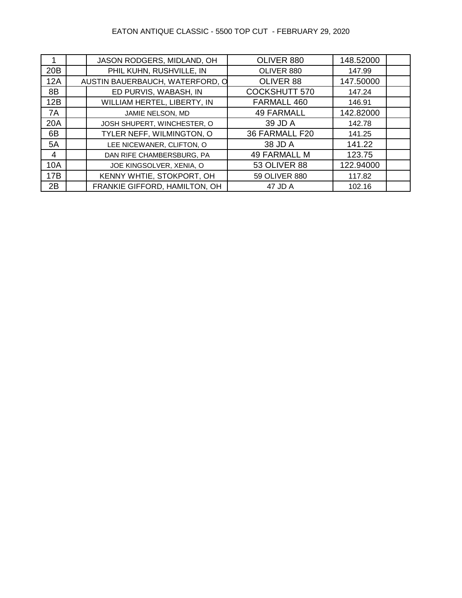# EATON ANTIQUE CLASSIC - 5500 TOP CUT - FEBRUARY 29, 2020

|            | JASON RODGERS, MIDLAND, OH      | OLIVER 880           | 148.52000 |  |
|------------|---------------------------------|----------------------|-----------|--|
| 20B        | PHIL KUHN, RUSHVILLE, IN        | OLIVER 880           | 147.99    |  |
| 12A        | AUSTIN BAUERBAUCH, WATERFORD, O | OLIVER 88            | 147.50000 |  |
| 8B         | ED PURVIS, WABASH, IN           | <b>COCKSHUTT 570</b> | 147.24    |  |
| 12B        | WILLIAM HERTEL, LIBERTY, IN     | FARMALL 460          | 146.91    |  |
| 7A         | JAMIE NELSON, MD                | <b>49 FARMALL</b>    | 142.82000 |  |
| <b>20A</b> | JOSH SHUPERT, WINCHESTER, O     | 39 JD A              | 142.78    |  |
| 6B         | TYLER NEFF, WILMINGTON, O       | 36 FARMALL F20       | 141.25    |  |
| 5A         | LEE NICEWANER, CLIFTON, O       | 38 JD A              | 141.22    |  |
| 4          | DAN RIFE CHAMBERSBURG, PA       | <b>49 FARMALL M</b>  | 123.75    |  |
| <b>10A</b> | JOE KINGSOLVER, XENIA, O        | <b>53 OLIVER 88</b>  | 122.94000 |  |
| 17B        | KENNY WHTIE, STOKPORT, OH       | 59 OLIVER 880        | 117.82    |  |
| 2B         | FRANKIE GIFFORD, HAMILTON, OH   | 47 JD A              | 102.16    |  |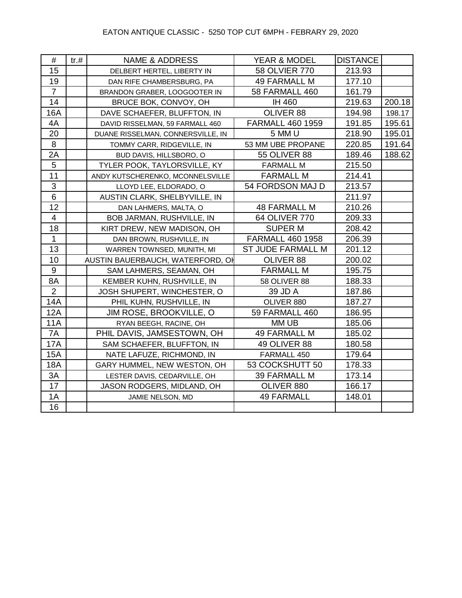| #                | tr.# | <b>NAME &amp; ADDRESS</b>         | YEAR & MODEL             | <b>DISTANCE</b> |        |
|------------------|------|-----------------------------------|--------------------------|-----------------|--------|
| 15               |      | DELBERT HERTEL, LIBERTY IN        | 58 OLVIER 770            | 213.93          |        |
| 19               |      | DAN RIFE CHAMBERSBURG, PA         | <b>49 FARMALL M</b>      | 177.10          |        |
| $\overline{7}$   |      | BRANDON GRABER, LOOGOOTER IN      | <b>58 FARMALL 460</b>    | 161.79          |        |
| 14               |      | BRUCE BOK, CONVOY, OH             | IH 460                   | 219.63          | 200.18 |
| 16A              |      | DAVE SCHAEFER, BLUFFTON, IN       | OLIVER 88                | 194.98          | 198.17 |
| 4A               |      | DAVID RISSELMAN, 59 FARMALL 460   | <b>FARMALL 460 1959</b>  | 191.85          | 195.61 |
| 20               |      | DUANE RISSELMAN, CONNERSVILLE, IN | 5 MM U                   | 218.90          | 195.01 |
| 8                |      | TOMMY CARR, RIDGEVILLE, IN        | 53 MM UBE PROPANE        | 220.85          | 191.64 |
| 2A               |      | BUD DAVIS, HILLSBORO, O           | <b>55 OLIVER 88</b>      | 189.46          | 188.62 |
| 5                |      | TYLER POOK, TAYLORSVILLE, KY      | <b>FARMALL M</b>         | 215.50          |        |
| 11               |      | ANDY KUTSCHERENKO, MCONNELSVILLE  | <b>FARMALL M</b>         | 214.41          |        |
| 3                |      | LLOYD LEE, ELDORADO, O            | 54 FORDSON MAJ D         | 213.57          |        |
| 6                |      | AUSTIN CLARK, SHELBYVILLE, IN     |                          | 211.97          |        |
| 12               |      | DAN LAHMERS, MALTA, O             | <b>48 FARMALL M</b>      | 210.26          |        |
| $\overline{4}$   |      | BOB JARMAN, RUSHVILLE, IN         | 64 OLIVER 770            | 209.33          |        |
| 18               |      | KIRT DREW, NEW MADISON, OH        | <b>SUPERM</b>            | 208.42          |        |
| $\mathbf{1}$     |      | DAN BROWN, RUSHVILLE, IN          | <b>FARMALL 460 1958</b>  | 206.39          |        |
| 13               |      | WARREN TOWNSED, MUNITH, MI        | <b>ST JUDE FARMALL M</b> | 201.12          |        |
| 10               |      | AUSTIN BAUERBAUCH, WATERFORD, OH  | OLIVER 88                | 200.02          |        |
| $\boldsymbol{9}$ |      | SAM LAHMERS, SEAMAN, OH           | <b>FARMALL M</b>         | 195.75          |        |
| 8A               |      | KEMBER KUHN, RUSHVILLE, IN        | <b>58 OLIVER 88</b>      | 188.33          |        |
| $\overline{2}$   |      | JOSH SHUPERT, WINCHESTER, O       | 39 JD A                  | 187.86          |        |
| 14A              |      | PHIL KUHN, RUSHVILLE, IN          | OLIVER 880               | 187.27          |        |
| 12A              |      | <b>JIM ROSE, BROOKVILLE, O</b>    | <b>59 FARMALL 460</b>    | 186.95          |        |
| 11A              |      | RYAN BEEGH, RACINE, OH            | MM UB                    | 185.06          |        |
| 7A               |      | PHIL DAVIS, JAMSESTOWN, OH        | <b>49 FARMALL M</b>      | 185.02          |        |
| <b>17A</b>       |      | SAM SCHAEFER, BLUFFTON, IN        | 49 OLIVER 88             | 180.58          |        |
| <b>15A</b>       |      | NATE LAFUZE, RICHMOND, IN         | FARMALL 450              | 179.64          |        |
| <b>18A</b>       |      | GARY HUMMEL, NEW WESTON, OH       | 53 COCKSHUTT 50          | 178.33          |        |
| 3A               |      | LESTER DAVIS, CEDARVILLE, OH      | <b>39 FARMALL M</b>      | 173.14          |        |
| 17               |      | JASON RODGERS, MIDLAND, OH        | OLIVER 880               | 166.17          |        |
| 1A               |      | JAMIE NELSON, MD                  | <b>49 FARMALL</b>        | 148.01          |        |
| 16               |      |                                   |                          |                 |        |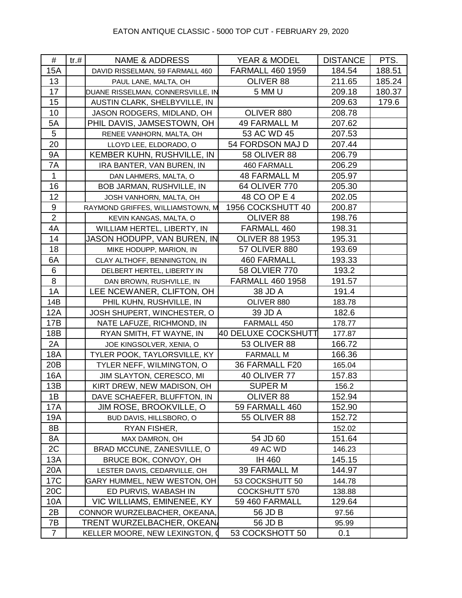| #               | tr. # | <b>NAME &amp; ADDRESS</b>         | <b>YEAR &amp; MODEL</b> | <b>DISTANCE</b> | PTS.   |
|-----------------|-------|-----------------------------------|-------------------------|-----------------|--------|
| <b>15A</b>      |       | DAVID RISSELMAN, 59 FARMALL 460   | <b>FARMALL 460 1959</b> | 184.54          | 188.51 |
| 13              |       | PAUL LANE, MALTA, OH              | OLIVER 88               | 211.65          | 185.24 |
| 17              |       | DUANE RISSELMAN, CONNERSVILLE, IN | 5 MM U                  | 209.18          | 180.37 |
| 15              |       | AUSTIN CLARK, SHELBYVILLE, IN     |                         | 209.63          | 179.6  |
| 10              |       | JASON RODGERS, MIDLAND, OH        | OLIVER 880              | 208.78          |        |
| 5A              |       | PHIL DAVIS, JAMSESTOWN, OH        | <b>49 FARMALL M</b>     | 207.62          |        |
| $5\phantom{.0}$ |       | RENEE VANHORN, MALTA, OH          | 53 AC WD 45             | 207.53          |        |
| 20              |       | LLOYD LEE, ELDORADO, O            | 54 FORDSON MAJ D        | 207.44          |        |
| <b>9A</b>       |       | KEMBER KUHN, RUSHVILLE, IN        | <b>58 OLIVER 88</b>     | 206.79          |        |
| 7A              |       | IRA BANTER, VAN BUREN, IN         | 460 FARMALL             | 206.29          |        |
| $\mathbf{1}$    |       | DAN LAHMERS, MALTA, O             | <b>48 FARMALL M</b>     | 205.97          |        |
| 16              |       | BOB JARMAN, RUSHVILLE, IN         | 64 OLIVER 770           | 205.30          |        |
| 12              |       | JOSH VANHORN, MALTA, OH           | 48 CO OP E 4            | 202.05          |        |
| 9               |       | RAYMOND GRIFFES, WILLIAMSTOWN, M  | 1956 COCKSHUTT 40       | 200.87          |        |
| $\overline{2}$  |       | KEVIN KANGAS, MALTA, O            | OLIVER 88               | 198.76          |        |
| 4A              |       | WILLIAM HERTEL, LIBERTY, IN       | FARMALL 460             | 198.31          |        |
| 14              |       | JASON HODUPP, VAN BUREN, IN       | <b>OLIVER 88 1953</b>   | 195.31          |        |
| 18              |       | MIKE HODUPP, MARION, IN           | <b>57 OLIVER 880</b>    | 193.69          |        |
| 6A              |       | CLAY ALTHOFF, BENNINGTON, IN      | <b>460 FARMALL</b>      | 193.33          |        |
| $\,6$           |       | DELBERT HERTEL, LIBERTY IN        | 58 OLVIER 770           | 193.2           |        |
| $\, 8$          |       | DAN BROWN, RUSHVILLE, IN          | <b>FARMALL 460 1958</b> | 191.57          |        |
| 1A              |       | LEE NCEWANER, CLIFTON, OH         | 38 JD A                 | 191.4           |        |
| 14B             |       | PHIL KUHN, RUSHVILLE, IN          | OLIVER 880              | 183.78          |        |
| <b>12A</b>      |       | JOSH SHUPERT, WINCHESTER, O       | 39 JD A                 | 182.6           |        |
| 17B             |       | NATE LAFUZE, RICHMOND, IN         | FARMALL 450             | 178.77          |        |
| 18B             |       | RYAN SMITH, FT WAYNE, IN          | 40 DELUXE COCKSHUTT     | 177.87          |        |
| 2A              |       | JOE KINGSOLVER, XENIA, O          | <b>53 OLIVER 88</b>     | 166.72          |        |
| 18A             |       | TYLER POOK, TAYLORSVILLE, KY      | <b>FARMALL M</b>        | 166.36          |        |
| 20B             |       | TYLER NEFF, WILMINGTON, O         | 36 FARMALL F20          | 165.04          |        |
| 16A             |       | JIM SLAYTON, CERESCO, MI          | <b>40 OLIVER 77</b>     | 157.83          |        |
| 13B             |       | KIRT DREW, NEW MADISON, OH        | <b>SUPER M</b>          | 156.2           |        |
| 1B              |       | DAVE SCHAEFER, BLUFFTON, IN       | OLIVER 88               | 152.94          |        |
| 17A             |       | <b>JIM ROSE, BROOKVILLE, O</b>    | 59 FARMALL 460          | 152.90          |        |
| 19A             |       | BUD DAVIS, HILLSBORO, O           | 55 OLIVER 88            | 152.72          |        |
| 8B              |       | RYAN FISHER,                      |                         | 152.02          |        |
| 8A              |       | MAX DAMRON, OH                    | 54 JD 60                | 151.64          |        |
| 2C              |       | BRAD MCCUNE, ZANESVILLE, O        | 49 AC WD                | 146.23          |        |
| 13A             |       | BRUCE BOK, CONVOY, OH             | IH 460                  | 145.15          |        |
| 20A             |       | LESTER DAVIS, CEDARVILLE, OH      | <b>39 FARMALL M</b>     | 144.97          |        |
| 17C             |       | GARY HUMMEL, NEW WESTON, OH       | 53 COCKSHUTT 50         | 144.78          |        |
| 20 <sub>C</sub> |       | ED PURVIS, WABASH IN              | COCKSHUTT 570           | 138.88          |        |
| 10A             |       | VIC WILLIAMS, EMINENEE, KY        | 59 460 FARMALL          | 129.64          |        |
| 2B              |       | CONNOR WURZELBACHER, OKEANA,      | 56 JD B                 | 97.56           |        |
| 7B              |       | TRENT WURZELBACHER, OKEAN         | 56 JD B                 | 95.99           |        |
| $\overline{7}$  |       | KELLER MOORE, NEW LEXINGTON, Q    | 53 COCKSHOTT 50         | 0.1             |        |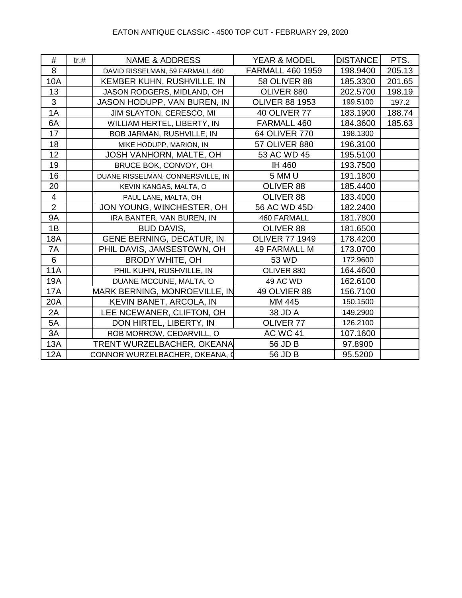### EATON ANTIQUE CLASSIC - 4500 TOP CUT - FEBRUARY 29, 2020

| #              | tr.# | <b>NAME &amp; ADDRESS</b>         | YEAR & MODEL            | <b>DISTANCE</b> | PTS.   |
|----------------|------|-----------------------------------|-------------------------|-----------------|--------|
| 8              |      | DAVID RISSELMAN, 59 FARMALL 460   | <b>FARMALL 460 1959</b> | 198.9400        | 205.13 |
| 10A            |      | KEMBER KUHN, RUSHVILLE, IN        | <b>58 OLIVER 88</b>     | 185.3300        | 201.65 |
| 13             |      | JASON RODGERS, MIDLAND, OH        | OLIVER 880              | 202.5700        | 198.19 |
| $\mathfrak{S}$ |      | JASON HODUPP, VAN BUREN, IN       | <b>OLIVER 88 1953</b>   | 199.5100        | 197.2  |
| 1A             |      | JIM SLAYTON, CERESCO, MI          | <b>40 OLIVER 77</b>     | 183.1900        | 188.74 |
| 6A             |      | WILLIAM HERTEL, LIBERTY, IN       | FARMALL 460             | 184.3600        | 185.63 |
| 17             |      | BOB JARMAN, RUSHVILLE, IN         | 64 OLIVER 770           | 198.1300        |        |
| 18             |      | MIKE HODUPP, MARION, IN           | 57 OLIVER 880           | 196.3100        |        |
| 12             |      | JOSH VANHORN, MALTE, OH           | 53 AC WD 45             | 195.5100        |        |
| 19             |      | BRUCE BOK, CONVOY, OH             | IH 460                  | 193.7500        |        |
| 16             |      | DUANE RISSELMAN, CONNERSVILLE, IN | 5 MM U                  | 191.1800        |        |
| 20             |      | KEVIN KANGAS, MALTA, O            | OLIVER 88               | 185.4400        |        |
| $\overline{4}$ |      | PAUL LANE, MALTA, OH              | OLIVER 88               | 183.4000        |        |
| $\overline{2}$ |      | JON YOUNG, WINCHESTER, OH         | 56 AC WD 45D            | 182.2400        |        |
| <b>9A</b>      |      | IRA BANTER, VAN BUREN, IN         | <b>460 FARMALL</b>      | 181.7800        |        |
| 1B             |      | <b>BUD DAVIS,</b>                 | OLIVER 88               | 181.6500        |        |
| <b>18A</b>     |      | GENE BERNING, DECATUR, IN         | <b>OLIVER 77 1949</b>   | 178.4200        |        |
| 7A             |      | PHIL DAVIS, JAMSESTOWN, OH        | <b>49 FARMALL M</b>     | 173.0700        |        |
| 6              |      | <b>BRODY WHITE, OH</b>            | 53 WD                   | 172.9600        |        |
| <b>11A</b>     |      | PHIL KUHN, RUSHVILLE, IN          | OLIVER 880              | 164.4600        |        |
| 19A            |      | DUANE MCCUNE, MALTA, O            | 49 AC WD                | 162.6100        |        |
| <b>17A</b>     |      | MARK BERNING, MONROEVILLE, IN     | 49 OLVIER 88            | 156.7100        |        |
| 20A            |      | KEVIN BANET, ARCOLA, IN           | MM 445                  | 150.1500        |        |
| 2A             |      | LEE NCEWANER, CLIFTON, OH         | 38 JD A                 | 149.2900        |        |
| 5A             |      | DON HIRTEL, LIBERTY, IN           | OLIVER 77               | 126.2100        |        |
| 3A             |      | ROB MORROW, CEDARVILL, O          | <b>AC WC 41</b>         | 107.1600        |        |
| 13A            |      | TRENT WURZELBACHER, OKEANA        | 56 JD B                 | 97.8900         |        |
| <b>12A</b>     |      | CONNOR WURZELBACHER, OKEANA, O    | 56 JD B                 | 95.5200         |        |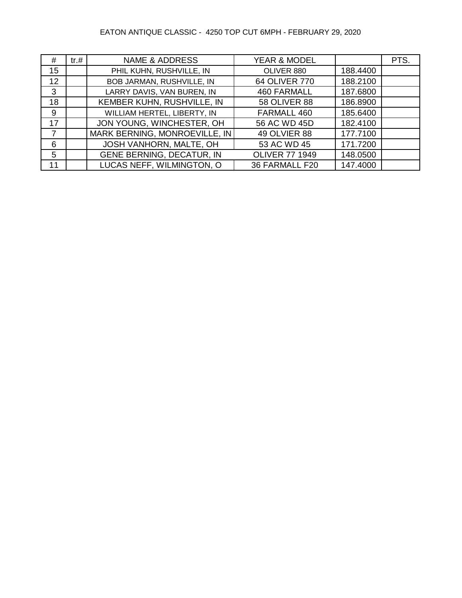### EATON ANTIQUE CLASSIC - 4250 TOP CUT 6MPH - FEBRUARY 29, 2020

| #              | tr. # | <b>NAME &amp; ADDRESS</b>        | <b>YEAR &amp; MODEL</b> |          | PTS. |
|----------------|-------|----------------------------------|-------------------------|----------|------|
| 15             |       | PHIL KUHN, RUSHVILLE, IN         | OLIVER 880              | 188.4400 |      |
| 12             |       | BOB JARMAN, RUSHVILLE, IN        | 64 OLIVER 770           | 188.2100 |      |
| $\mathbf{3}$   |       | LARRY DAVIS, VAN BUREN, IN       | <b>460 FARMALL</b>      | 187.6800 |      |
| 18             |       | KEMBER KUHN, RUSHVILLE, IN       | <b>58 OLIVER 88</b>     | 186.8900 |      |
| 9              |       | WILLIAM HERTEL, LIBERTY, IN      | FARMALL 460             | 185.6400 |      |
| 17             |       | JON YOUNG, WINCHESTER, OH        | 56 AC WD 45D            | 182.4100 |      |
| $\overline{7}$ |       | MARK BERNING, MONROEVILLE, IN    | <b>49 OLVIER 88</b>     | 177.7100 |      |
| 6              |       | JOSH VANHORN, MALTE, OH          | 53 AC WD 45             | 171.7200 |      |
| 5              |       | <b>GENE BERNING, DECATUR, IN</b> | <b>OLIVER 77 1949</b>   | 148.0500 |      |
| 11             |       | LUCAS NEFF, WILMINGTON, O        | 36 FARMALL F20          | 147.4000 |      |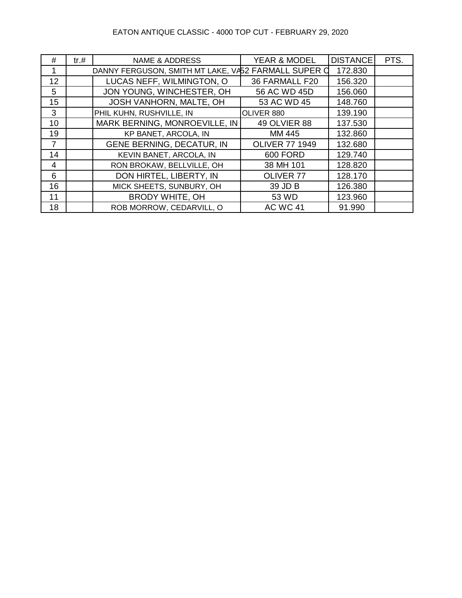### EATON ANTIQUE CLASSIC - 4000 TOP CUT - FEBRUARY 29, 2020

| #               | tr.# | NAME & ADDRESS                                      | <b>YEAR &amp; MODEL</b> | <b>DISTANCE</b> | PTS. |
|-----------------|------|-----------------------------------------------------|-------------------------|-----------------|------|
|                 |      | DANNY FERGUSON, SMITH MT LAKE, VA52 FARMALL SUPER O |                         | 172.830         |      |
| 12 <sup>2</sup> |      | LUCAS NEFF, WILMINGTON, O                           | 36 FARMALL F20          | 156.320         |      |
| 5               |      | JON YOUNG, WINCHESTER, OH                           | 56 AC WD 45D            | 156.060         |      |
| 15              |      | JOSH VANHORN, MALTE, OH                             | 53 AC WD 45             | 148.760         |      |
| 3               |      | PHIL KUHN, RUSHVILLE, IN                            | OLIVER 880              | 139.190         |      |
| 10              |      | MARK BERNING, MONROEVILLE, IN                       | <b>49 OLVIER 88</b>     | 137.530         |      |
| 19              |      | KP BANET, ARCOLA, IN                                | MM 445                  | 132.860         |      |
| $\overline{7}$  |      | <b>GENE BERNING, DECATUR, IN</b>                    | <b>OLIVER 77 1949</b>   | 132.680         |      |
| 14              |      | KEVIN BANET, ARCOLA, IN                             | <b>600 FORD</b>         | 129.740         |      |
| 4               |      | RON BROKAW, BELLVILLE, OH                           | 38 MH 101               | 128.820         |      |
| 6               |      | DON HIRTEL, LIBERTY, IN                             | <b>OLIVER 77</b>        | 128.170         |      |
| 16              |      | MICK SHEETS, SUNBURY, OH                            | 39 JD B                 | 126.380         |      |
| 11              |      | <b>BRODY WHITE, OH</b>                              | 53 WD                   | 123.960         |      |
| 18              |      | ROB MORROW, CEDARVILL, O                            | <b>AC WC 41</b>         | 91.990          |      |